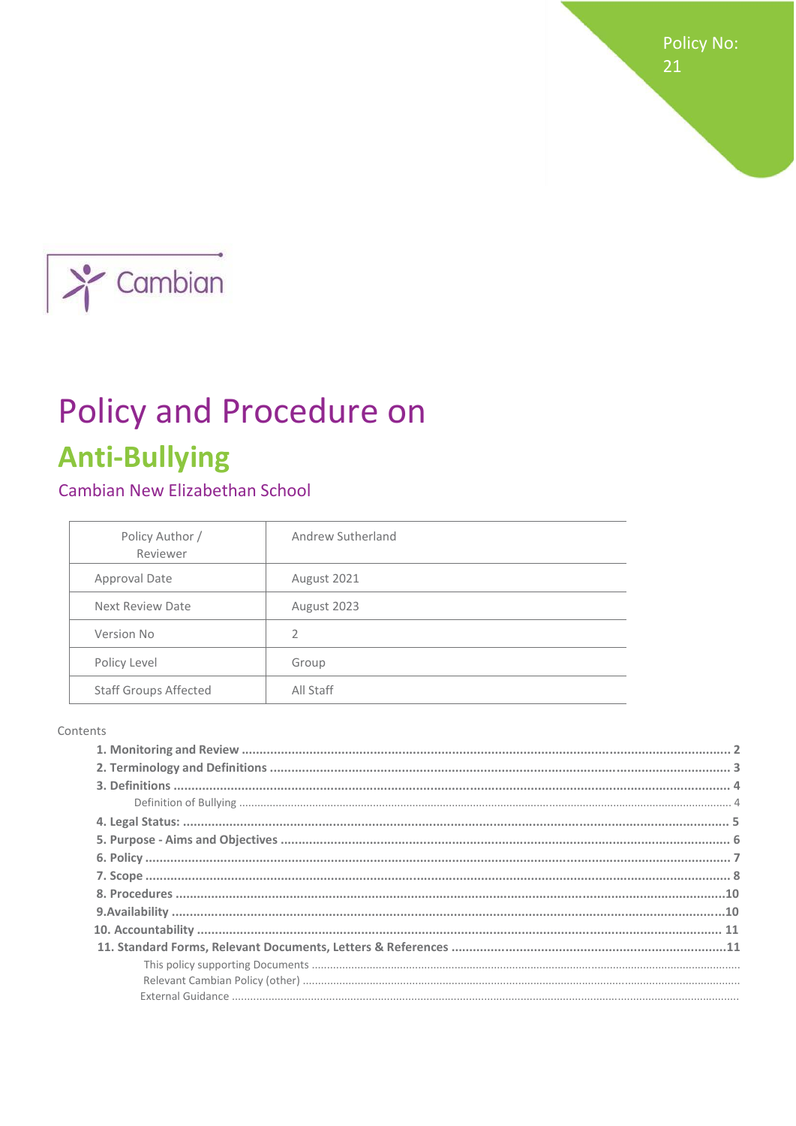Policy No: 21



# **Policy and Procedure on Anti-Bullying**

# Cambian New Elizabethan School

| Policy Author /<br>Reviewer  | Andrew Sutherland |
|------------------------------|-------------------|
| Approval Date                | August 2021       |
| Next Review Date             | August 2023       |
| Version No                   | 2                 |
| Policy Level                 | Group             |
| <b>Staff Groups Affected</b> | All Staff         |

#### Contents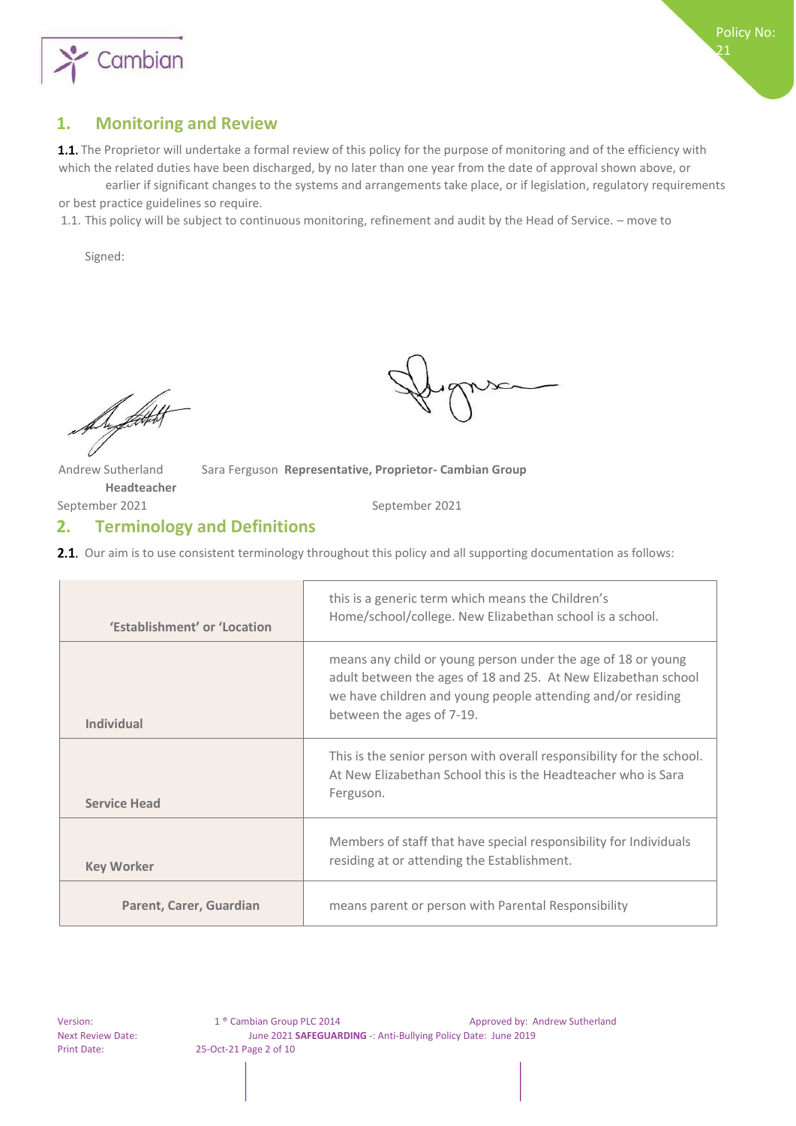



21

#### **1. Monitoring and Review**

1.1. The Proprietor will undertake a formal review of this policy for the purpose of monitoring and of the efficiency with which the related duties have been discharged, by no later than one year from the date of approval shown above, or

earlier if significant changes to the systems and arrangements take place, or if legislation, regulatory requirements or best practice guidelines so require.

1.1. This policy will be subject to continuous monitoring, refinement and audit by the Head of Service. – move to

Signed:

Du flott of

Andrew Sutherland Sara Ferguson **Representative, Proprietor- Cambian Group** 

September 2021 September 2021

**Headteacher** 

#### **2. Terminology and Definitions**

**2.1.** Our aim is to use consistent terminology throughout this policy and all supporting documentation as follows:

| 'Establishment' or 'Location | this is a generic term which means the Children's<br>Home/school/college. New Elizabethan school is a school.                                                                                 |
|------------------------------|-----------------------------------------------------------------------------------------------------------------------------------------------------------------------------------------------|
|                              | means any child or young person under the age of 18 or young<br>adult between the ages of 18 and 25. At New Elizabethan school<br>we have children and young people attending and/or residing |
| <b>Individual</b>            | between the ages of 7-19.                                                                                                                                                                     |
| <b>Service Head</b>          | This is the senior person with overall responsibility for the school.<br>At New Elizabethan School this is the Headteacher who is Sara<br>Ferguson.                                           |
| <b>Key Worker</b>            | Members of staff that have special responsibility for Individuals<br>residing at or attending the Establishment.                                                                              |
| Parent, Carer, Guardian      | means parent or person with Parental Responsibility                                                                                                                                           |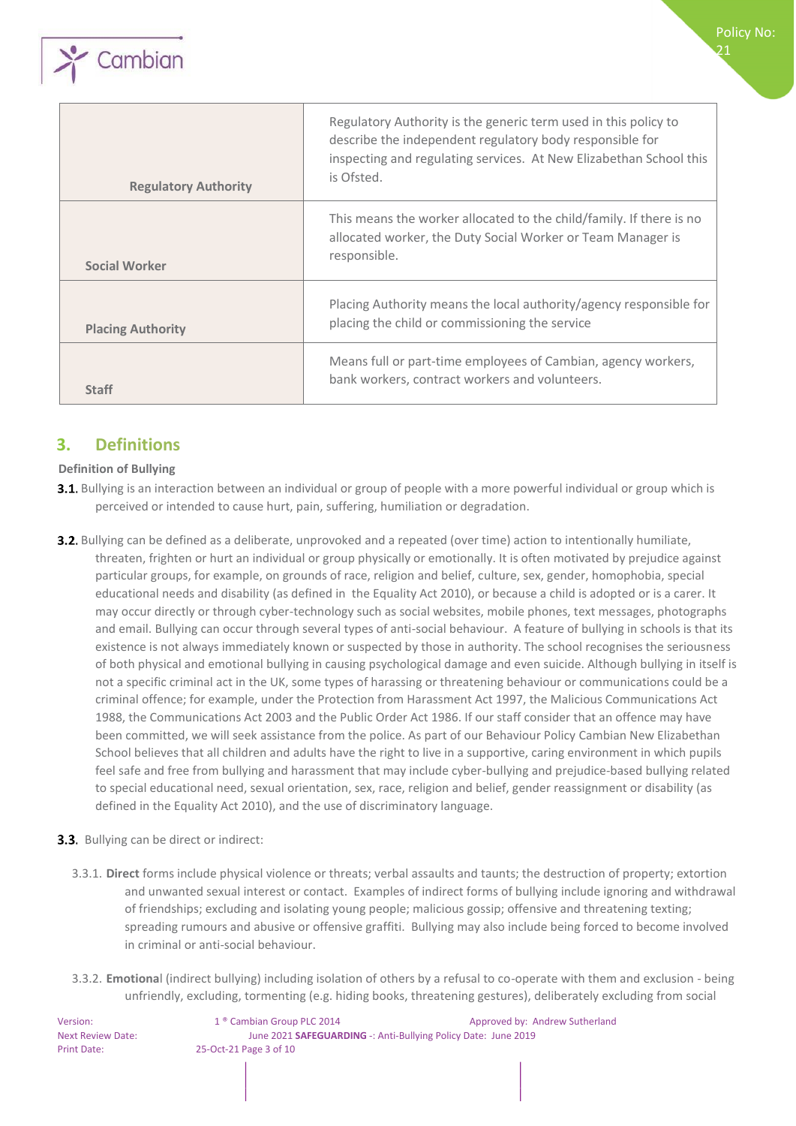

| <b>Regulatory Authority</b> | Regulatory Authority is the generic term used in this policy to<br>describe the independent regulatory body responsible for<br>inspecting and regulating services. At New Elizabethan School this<br>is Ofsted. |
|-----------------------------|-----------------------------------------------------------------------------------------------------------------------------------------------------------------------------------------------------------------|
| <b>Social Worker</b>        | This means the worker allocated to the child/family. If there is no<br>allocated worker, the Duty Social Worker or Team Manager is<br>responsible.                                                              |
| <b>Placing Authority</b>    | Placing Authority means the local authority/agency responsible for<br>placing the child or commissioning the service                                                                                            |
| <b>Staff</b>                | Means full or part-time employees of Cambian, agency workers,<br>bank workers, contract workers and volunteers.                                                                                                 |

# **3. Definitions**

#### **Definition of Bullying**

- **3.1.** Bullying is an interaction between an individual or group of people with a more powerful individual or group which is perceived or intended to cause hurt, pain, suffering, humiliation or degradation.
- **3.2.** Bullying can be defined as a deliberate, unprovoked and a repeated (over time) action to intentionally humiliate, threaten, frighten or hurt an individual or group physically or emotionally. It is often motivated by prejudice against particular groups, for example, on grounds of race, religion and belief, culture, sex, gender, homophobia, special educational needs and disability (as defined in the Equality Act 2010), or because a child is adopted or is a carer. It may occur directly or through cyber-technology such as social websites, mobile phones, text messages, photographs and email. Bullying can occur through several types of anti-social behaviour. A feature of bullying in schools is that its existence is not always immediately known or suspected by those in authority. The school recognises the seriousness of both physical and emotional bullying in causing psychological damage and even suicide. Although bullying in itself is not a specific criminal act in the UK, some types of harassing or threatening behaviour or communications could be a criminal offence; for example, under the Protection from Harassment Act 1997, the Malicious Communications Act 1988, the Communications Act 2003 and the Public Order Act 1986. If our staff consider that an offence may have been committed, we will seek assistance from the police. As part of our Behaviour Policy Cambian New Elizabethan School believes that all children and adults have the right to live in a supportive, caring environment in which pupils feel safe and free from bullying and harassment that may include cyber-bullying and prejudice-based bullying related to special educational need, sexual orientation, sex, race, religion and belief, gender reassignment or disability (as defined in the Equality Act 2010), and the use of discriminatory language.
- **3.3.** Bullying can be direct or indirect:
	- 3.3.1. **Direct** forms include physical violence or threats; verbal assaults and taunts; the destruction of property; extortion and unwanted sexual interest or contact. Examples of indirect forms of bullying include ignoring and withdrawal of friendships; excluding and isolating young people; malicious gossip; offensive and threatening texting; spreading rumours and abusive or offensive graffiti. Bullying may also include being forced to become involved in criminal or anti-social behaviour.
	- 3.3.2. **Emotiona**l (indirect bullying) including isolation of others by a refusal to co-operate with them and exclusion being unfriendly, excluding, tormenting (e.g. hiding books, threatening gestures), deliberately excluding from social

Version: 1 ® Cambian Group PLC 2014 Approved by: Andrew Sutherland Next Review Date: June 2021 **SAFEGUARDING** -: Anti-Bullying Policy Date: June 2019 Print Date: 25-Oct-21 Page 3 of 10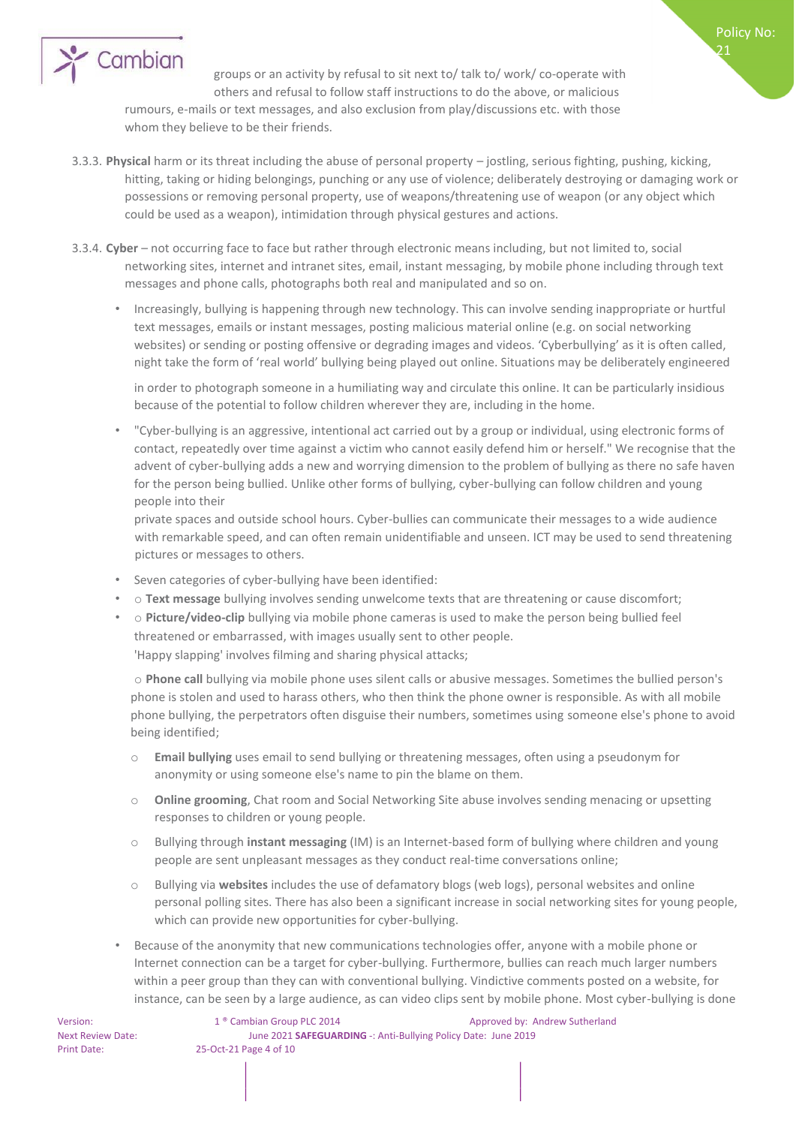

groups or an activity by refusal to sit next to/ talk to/ work/ co-operate with others and refusal to follow staff instructions to do the above, or malicious

rumours, e-mails or text messages, and also exclusion from play/discussions etc. with those whom they believe to be their friends.

- 3.3.3. **Physical** harm or its threat including the abuse of personal property jostling, serious fighting, pushing, kicking, hitting, taking or hiding belongings, punching or any use of violence; deliberately destroying or damaging work or possessions or removing personal property, use of weapons/threatening use of weapon (or any object which could be used as a weapon), intimidation through physical gestures and actions.
- 3.3.4. **Cyber** not occurring face to face but rather through electronic means including, but not limited to, social networking sites, internet and intranet sites, email, instant messaging, by mobile phone including through text messages and phone calls, photographs both real and manipulated and so on.
	- Increasingly, bullying is happening through new technology. This can involve sending inappropriate or hurtful text messages, emails or instant messages, posting malicious material online (e.g. on social networking websites) or sending or posting offensive or degrading images and videos. 'Cyberbullying' as it is often called, night take the form of 'real world' bullying being played out online. Situations may be deliberately engineered

in order to photograph someone in a humiliating way and circulate this online. It can be particularly insidious because of the potential to follow children wherever they are, including in the home.

• "Cyber-bullying is an aggressive, intentional act carried out by a group or individual, using electronic forms of contact, repeatedly over time against a victim who cannot easily defend him or herself." We recognise that the advent of cyber-bullying adds a new and worrying dimension to the problem of bullying as there no safe haven for the person being bullied. Unlike other forms of bullying, cyber-bullying can follow children and young people into their

private spaces and outside school hours. Cyber-bullies can communicate their messages to a wide audience with remarkable speed, and can often remain unidentifiable and unseen. ICT may be used to send threatening pictures or messages to others.

- Seven categories of cyber-bullying have been identified:
- o **Text message** bullying involves sending unwelcome texts that are threatening or cause discomfort;
- o **Picture/video-clip** bullying via mobile phone cameras is used to make the person being bullied feel threatened or embarrassed, with images usually sent to other people. 'Happy slapping' involves filming and sharing physical attacks;

o **Phone call** bullying via mobile phone uses silent calls or abusive messages. Sometimes the bullied person's phone is stolen and used to harass others, who then think the phone owner is responsible. As with all mobile phone bullying, the perpetrators often disguise their numbers, sometimes using someone else's phone to avoid being identified;

- o **Email bullying** uses email to send bullying or threatening messages, often using a pseudonym for anonymity or using someone else's name to pin the blame on them.
- o **Online grooming**, Chat room and Social Networking Site abuse involves sending menacing or upsetting responses to children or young people.
- o Bullying through **instant messaging** (IM) is an Internet-based form of bullying where children and young people are sent unpleasant messages as they conduct real-time conversations online;
- Bullying via websites includes the use of defamatory blogs (web logs), personal websites and online personal polling sites. There has also been a significant increase in social networking sites for young people, which can provide new opportunities for cyber-bullying.
- Because of the anonymity that new communications technologies offer, anyone with a mobile phone or Internet connection can be a target for cyber-bullying. Furthermore, bullies can reach much larger numbers within a peer group than they can with conventional bullying. Vindictive comments posted on a website, for instance, can be seen by a large audience, as can video clips sent by mobile phone. Most cyber-bullying is done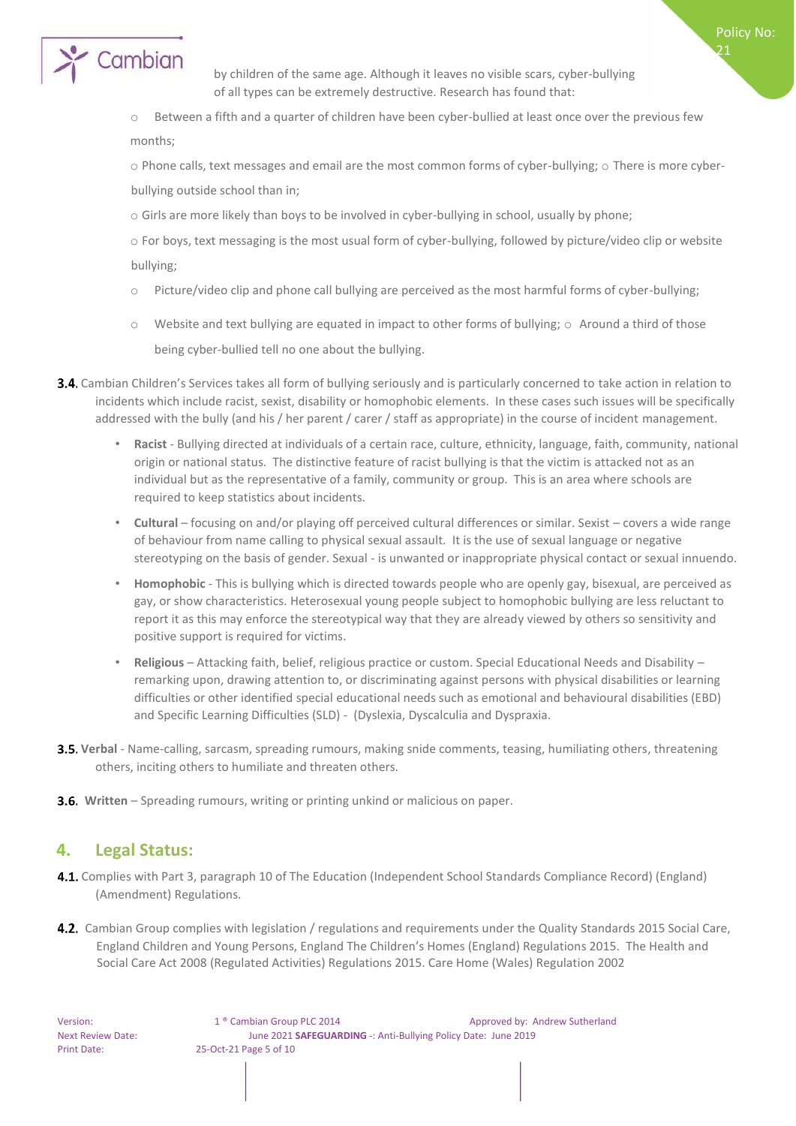

by children of the same age. Although it leaves no visible scars, cyber-bullying of all types can be extremely destructive. Research has found that:

Policy No: 21

o Between a fifth and a quarter of children have been cyber-bullied at least once over the previous few months;

o Phone calls, text messages and email are the most common forms of cyber-bullying; o There is more cyberbullying outside school than in;

o Girls are more likely than boys to be involved in cyber-bullying in school, usually by phone;

o For boys, text messaging is the most usual form of cyber-bullying, followed by picture/video clip or website bullying;

- o Picture/video clip and phone call bullying are perceived as the most harmful forms of cyber-bullying;
- $\circ$  Website and text bullying are equated in impact to other forms of bullying;  $\circ$  Around a third of those being cyber-bullied tell no one about the bullying.
- 3.4. Cambian Children's Services takes all form of bullying seriously and is particularly concerned to take action in relation to incidents which include racist, sexist, disability or homophobic elements. In these cases such issues will be specifically addressed with the bully (and his / her parent / carer / staff as appropriate) in the course of incident management.
	- **Racist**  Bullying directed at individuals of a certain race, culture, ethnicity, language, faith, community, national origin or national status. The distinctive feature of racist bullying is that the victim is attacked not as an individual but as the representative of a family, community or group. This is an area where schools are required to keep statistics about incidents.
	- **Cultural** focusing on and/or playing off perceived cultural differences or similar. Sexist covers a wide range of behaviour from name calling to physical sexual assault. It is the use of sexual language or negative stereotyping on the basis of gender. Sexual - is unwanted or inappropriate physical contact or sexual innuendo.
	- **Homophobic** This is bullying which is directed towards people who are openly gay, bisexual, are perceived as gay, or show characteristics. Heterosexual young people subject to homophobic bullying are less reluctant to report it as this may enforce the stereotypical way that they are already viewed by others so sensitivity and positive support is required for victims.
	- **Religious** Attacking faith, belief, religious practice or custom. Special Educational Needs and Disability remarking upon, drawing attention to, or discriminating against persons with physical disabilities or learning difficulties or other identified special educational needs such as emotional and behavioural disabilities (EBD) and Specific Learning Difficulties (SLD) - (Dyslexia, Dyscalculia and Dyspraxia.
- **Verbal** Name-calling, sarcasm, spreading rumours, making snide comments, teasing, humiliating others, threatening others, inciting others to humiliate and threaten others.
- **3.6.** Written Spreading rumours, writing or printing unkind or malicious on paper.

### **4. Legal Status:**

- 4.1. Complies with Part 3, paragraph 10 of The Education (Independent School Standards Compliance Record) (England) (Amendment) Regulations.
- **4.2.** Cambian Group complies with legislation / regulations and requirements under the Quality Standards 2015 Social Care, England Children and Young Persons, England The Children's Homes (England) Regulations 2015. The Health and Social Care Act 2008 (Regulated Activities) Regulations 2015. Care Home (Wales) Regulation 2002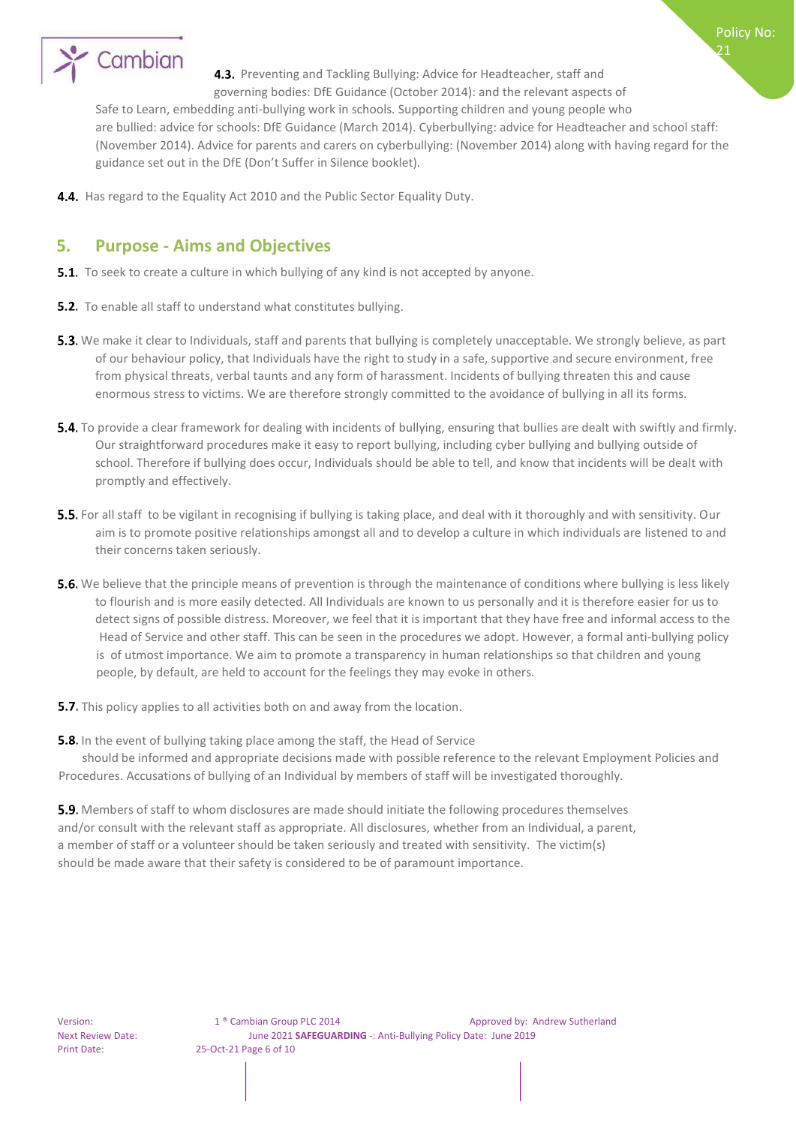

4.3. Preventing and Tackling Bullying: Advice for Headteacher, staff and governing bodies: DfE Guidance (October 2014): and the relevant aspects of

Safe to Learn, embedding anti-bullying work in schools. Supporting children and young people who are bullied: advice for schools: DfE Guidance (March 2014). Cyberbullying: advice for Headteacher and school staff: (November 2014). Advice for parents and carers on cyberbullying: (November 2014) along with having regard for the guidance set out in the DfE (Don't Suffer in Silence booklet).

4.4. Has regard to the Equality Act 2010 and the Public Sector Equality Duty.

# **5. Purpose - Aims and Objectives**

- **5.1.** To seek to create a culture in which bullying of any kind is not accepted by anyone.
- **5.2.** To enable all staff to understand what constitutes bullying.
- **5.3.** We make it clear to Individuals, staff and parents that bullying is completely unacceptable. We strongly believe, as part of our behaviour policy, that Individuals have the right to study in a safe, supportive and secure environment, free from physical threats, verbal taunts and any form of harassment. Incidents of bullying threaten this and cause enormous stress to victims. We are therefore strongly committed to the avoidance of bullying in all its forms.
- **5.4.** To provide a clear framework for dealing with incidents of bullying, ensuring that bullies are dealt with swiftly and firmly. Our straightforward procedures make it easy to report bullying, including cyber bullying and bullying outside of school. Therefore if bullying does occur, Individuals should be able to tell, and know that incidents will be dealt with promptly and effectively.
- 5.5. For all staff to be vigilant in recognising if bullying is taking place, and deal with it thoroughly and with sensitivity. Our aim is to promote positive relationships amongst all and to develop a culture in which individuals are listened to and their concerns taken seriously.
- **5.6.** We believe that the principle means of prevention is through the maintenance of conditions where bullying is less likely to flourish and is more easily detected. All Individuals are known to us personally and it is therefore easier for us to detect signs of possible distress. Moreover, we feel that it is important that they have free and informal access to the Head of Service and other staff. This can be seen in the procedures we adopt. However, a formal anti-bullying policy is of utmost importance. We aim to promote a transparency in human relationships so that children and young people, by default, are held to account for the feelings they may evoke in others.
- **5.7.** This policy applies to all activities both on and away from the location.
- **5.8.** In the event of bullying taking place among the staff, the Head of Service

 should be informed and appropriate decisions made with possible reference to the relevant Employment Policies and Procedures. Accusations of bullying of an Individual by members of staff will be investigated thoroughly.

**5.9.** Members of staff to whom disclosures are made should initiate the following procedures themselves and/or consult with the relevant staff as appropriate. All disclosures, whether from an Individual, a parent, a member of staff or a volunteer should be taken seriously and treated with sensitivity. The victim(s) should be made aware that their safety is considered to be of paramount importance.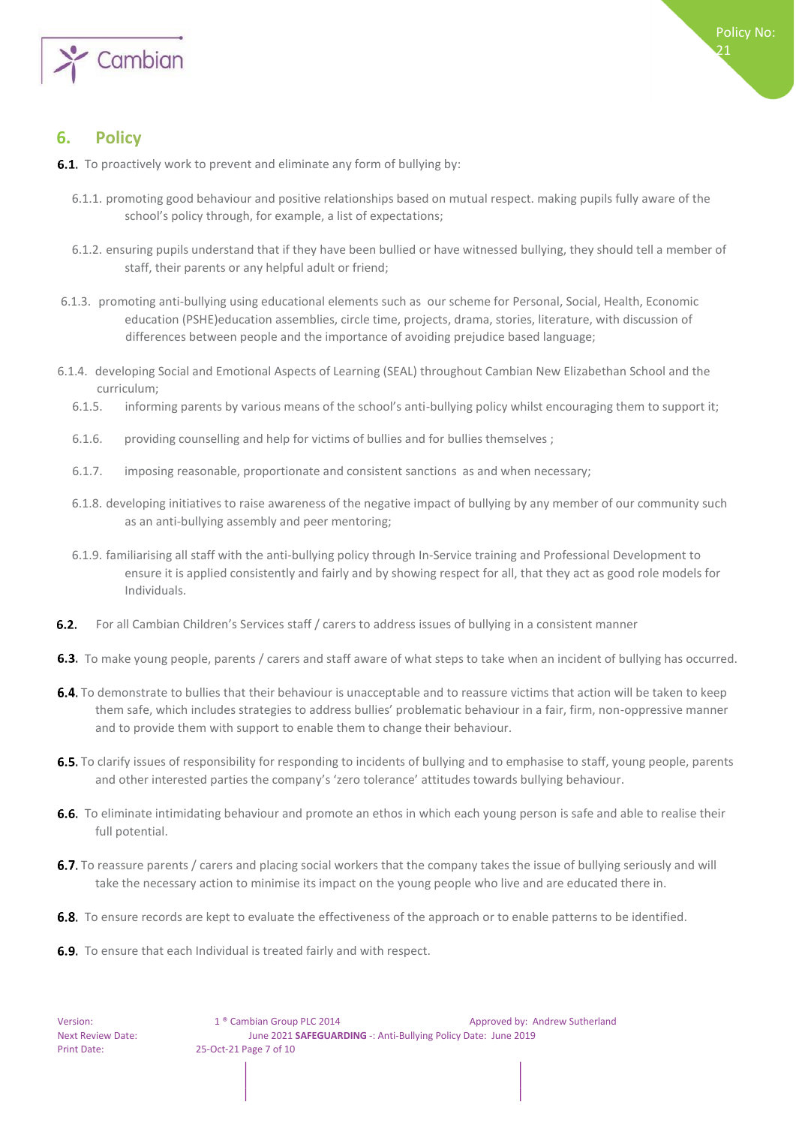

21

# **6. Policy**

- **6.1.** To proactively work to prevent and eliminate any form of bullying by:
	- 6.1.1. promoting good behaviour and positive relationships based on mutual respect. making pupils fully aware of the school's policy through, for example, a list of expectations;
	- 6.1.2. ensuring pupils understand that if they have been bullied or have witnessed bullying, they should tell a member of staff, their parents or any helpful adult or friend;
- 6.1.3. promoting anti-bullying using educational elements such as our scheme for Personal, Social, Health, Economic education (PSHE)education assemblies, circle time, projects, drama, stories, literature, with discussion of differences between people and the importance of avoiding prejudice based language;
- 6.1.4. developing Social and Emotional Aspects of Learning (SEAL) throughout Cambian New Elizabethan School and the curriculum;
	- 6.1.5. informing parents by various means of the school's anti-bullying policy whilst encouraging them to support it;
	- 6.1.6. providing counselling and help for victims of bullies and for bullies themselves ;
	- 6.1.7. imposing reasonable, proportionate and consistent sanctions as and when necessary;
	- 6.1.8. developing initiatives to raise awareness of the negative impact of bullying by any member of our community such as an anti-bullying assembly and peer mentoring;
	- 6.1.9. familiarising all staff with the anti-bullying policy through In-Service training and Professional Development to ensure it is applied consistently and fairly and by showing respect for all, that they act as good role models for Individuals.
- **6.2.** For all Cambian Children's Services staff / carers to address issues of bullying in a consistent manner
- **6.3.** To make young people, parents / carers and staff aware of what steps to take when an incident of bullying has occurred.
- 6.4. To demonstrate to bullies that their behaviour is unacceptable and to reassure victims that action will be taken to keep them safe, which includes strategies to address bullies' problematic behaviour in a fair, firm, non-oppressive manner and to provide them with support to enable them to change their behaviour.
- **6.5.** To clarify issues of responsibility for responding to incidents of bullying and to emphasise to staff, young people, parents and other interested parties the company's 'zero tolerance' attitudes towards bullying behaviour.
- **6.6.** To eliminate intimidating behaviour and promote an ethos in which each young person is safe and able to realise their full potential.
- 6.7. To reassure parents / carers and placing social workers that the company takes the issue of bullying seriously and will take the necessary action to minimise its impact on the young people who live and are educated there in.
- **6.8.** To ensure records are kept to evaluate the effectiveness of the approach or to enable patterns to be identified.
- **6.9.** To ensure that each Individual is treated fairly and with respect.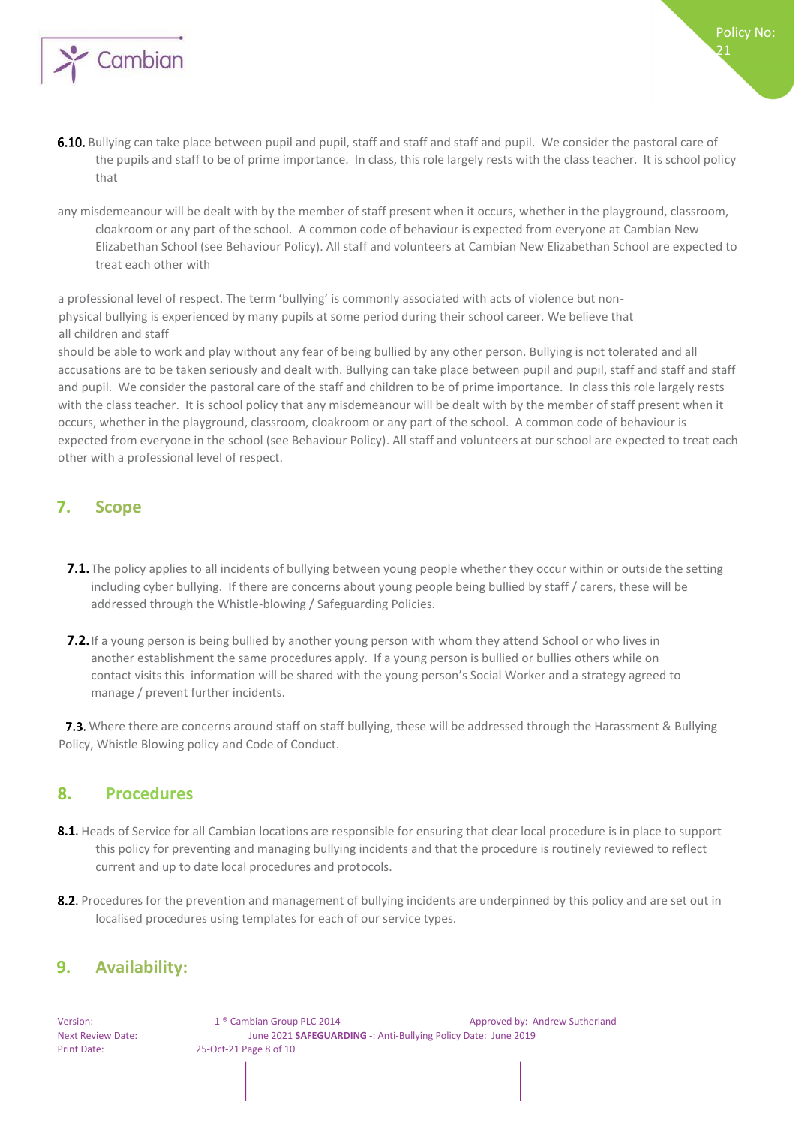

- 6.10. Bullying can take place between pupil and pupil, staff and staff and staff and pupil. We consider the pastoral care of the pupils and staff to be of prime importance. In class, this role largely rests with the class teacher. It is school policy that
- any misdemeanour will be dealt with by the member of staff present when it occurs, whether in the playground, classroom, cloakroom or any part of the school. A common code of behaviour is expected from everyone at Cambian New Elizabethan School (see Behaviour Policy). All staff and volunteers at Cambian New Elizabethan School are expected to treat each other with

a professional level of respect. The term 'bullying' is commonly associated with acts of violence but nonphysical bullying is experienced by many pupils at some period during their school career. We believe that all children and staff

should be able to work and play without any fear of being bullied by any other person. Bullying is not tolerated and all accusations are to be taken seriously and dealt with. Bullying can take place between pupil and pupil, staff and staff and staff and pupil. We consider the pastoral care of the staff and children to be of prime importance. In class this role largely rests with the class teacher. It is school policy that any misdemeanour will be dealt with by the member of staff present when it occurs, whether in the playground, classroom, cloakroom or any part of the school. A common code of behaviour is expected from everyone in the school (see Behaviour Policy). All staff and volunteers at our school are expected to treat each other with a professional level of respect.

## **7. Scope**

- **7.1.**The policy applies to all incidents of bullying between young people whether they occur within or outside the setting including cyber bullying. If there are concerns about young people being bullied by staff / carers, these will be addressed through the Whistle-blowing / Safeguarding Policies.
- **7.2.**If a young person is being bullied by another young person with whom they attend School or who lives in another establishment the same procedures apply. If a young person is bullied or bullies others while on contact visits this information will be shared with the young person's Social Worker and a strategy agreed to manage / prevent further incidents.

**7.3.** Where there are concerns around staff on staff bullying, these will be addressed through the Harassment & Bullying Policy, Whistle Blowing policy and Code of Conduct.

### **8. Procedures**

- 8.1. Heads of Service for all Cambian locations are responsible for ensuring that clear local procedure is in place to support this policy for preventing and managing bullying incidents and that the procedure is routinely reviewed to reflect current and up to date local procedures and protocols.
- 8.2. Procedures for the prevention and management of bullying incidents are underpinned by this policy and are set out in localised procedures using templates for each of our service types.

### **9. Availability:**

Version: 1 ® Cambian Group PLC 2014 Approved by: Andrew Sutherland Next Review Date: June 2021 **SAFEGUARDING** -: Anti-Bullying Policy Date: June 2019 Print Date: 25-Oct-21 Page 8 of 10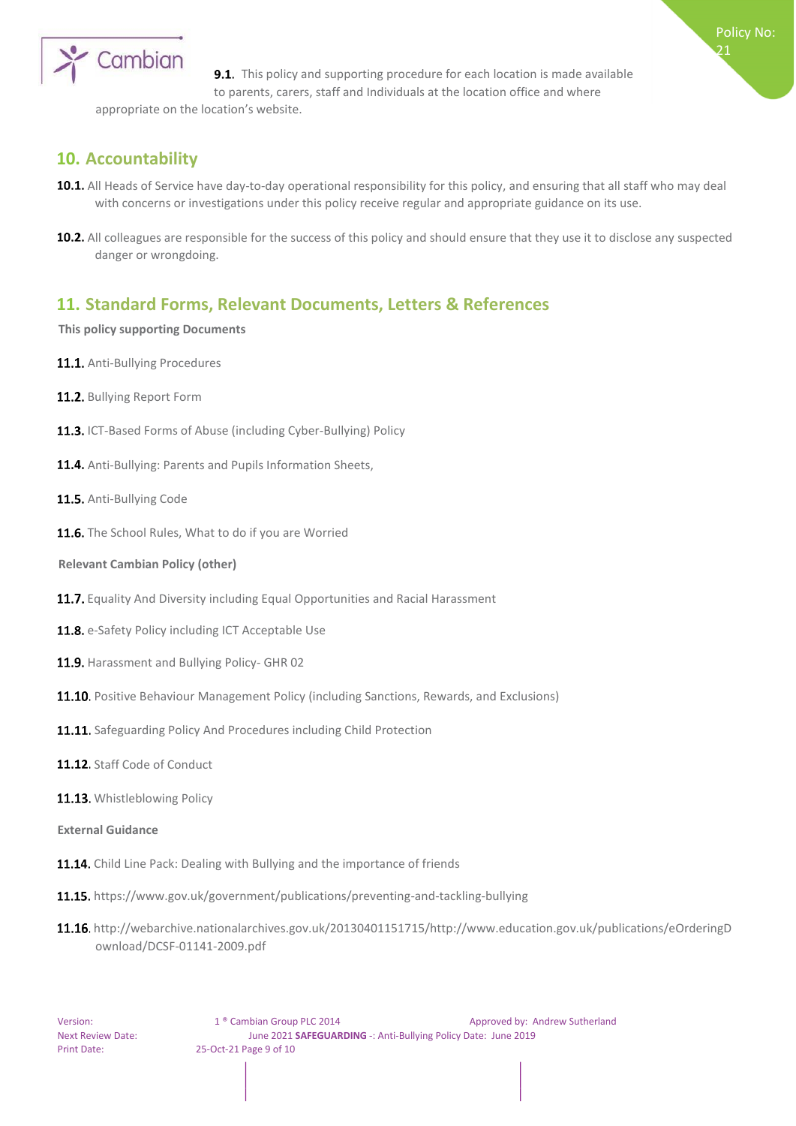

**9.1.** This policy and supporting procedure for each location is made available to parents, carers, staff and Individuals at the location office and where

Policy No: 21

appropriate on the location's website.

## **10. Accountability**

- 10.1. All Heads of Service have day-to-day operational responsibility for this policy, and ensuring that all staff who may deal with concerns or investigations under this policy receive regular and appropriate guidance on its use.
- 10.2. All colleagues are responsible for the success of this policy and should ensure that they use it to disclose any suspected danger or wrongdoing.

## **11. Standard Forms, Relevant Documents, Letters & References**

#### **This policy supporting Documents**

- 11.1. Anti-Bullying Procedures
- 11.2. Bullying Report Form
- 11.3. ICT-Based Forms of Abuse (including Cyber-Bullying) Policy
- 11.4. Anti-Bullying: Parents and Pupils Information Sheets,
- 11.5. Anti-Bullying Code
- 11.6. The School Rules, What to do if you are Worried
- **Relevant Cambian Policy (other)**
- 11.7. Equality And Diversity including Equal Opportunities and Racial Harassment
- 11.8. e-Safety Policy including ICT Acceptable Use
- 11.9. Harassment and Bullying Policy- GHR 02
- 11.10. Positive Behaviour Management Policy (including Sanctions, Rewards, and Exclusions)
- 11.11. Safeguarding Policy And Procedures including Child Protection
- 11.12. Staff Code of Conduct
- 11.13. Whistleblowing Policy
- **External Guidance**
- 11.14. Child Line Pack: Dealing with Bullying and the importance of friends
- 11.15. https://www.gov.uk/government/publications/preventing-and-tackling-bullying
- 11.16. http://webarchive.nationalarchives.gov.uk/20130401151715/http://www.education.gov.uk/publications/eOrderingD ownload/DCSF-01141-2009.pdf